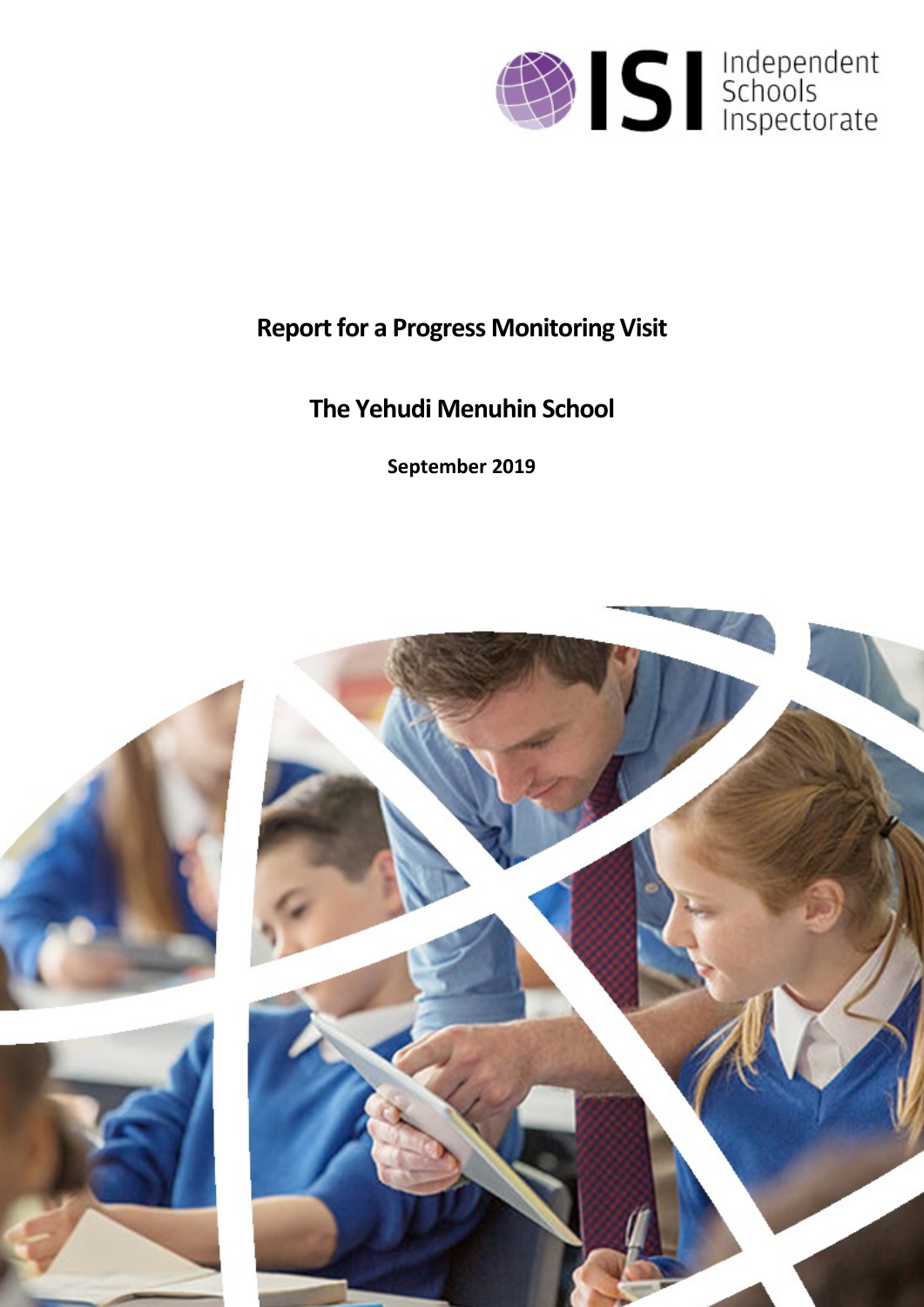

# **Report for a Progress Monitoring Visit**

# **The Yehudi Menuhin School**

**September 2019**

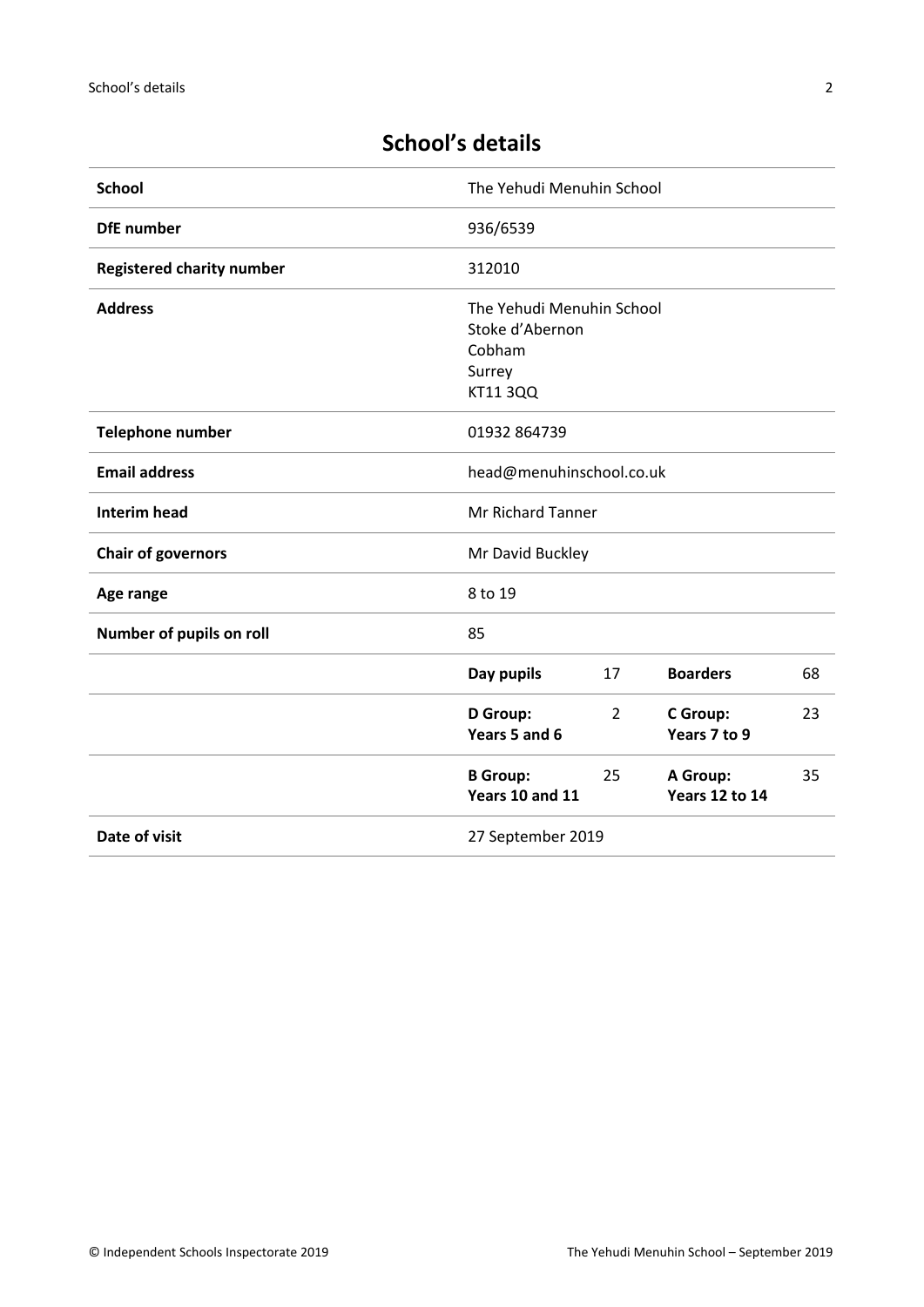# **School's details**

| <b>School</b>                    | The Yehudi Menuhin School                                                           |    |                                   |    |
|----------------------------------|-------------------------------------------------------------------------------------|----|-----------------------------------|----|
| <b>DfE</b> number                | 936/6539                                                                            |    |                                   |    |
| <b>Registered charity number</b> | 312010                                                                              |    |                                   |    |
| <b>Address</b>                   | The Yehudi Menuhin School<br>Stoke d'Abernon<br>Cobham<br>Surrey<br><b>KT11 3QQ</b> |    |                                   |    |
| <b>Telephone number</b>          | 01932 864739                                                                        |    |                                   |    |
| <b>Email address</b>             | head@menuhinschool.co.uk                                                            |    |                                   |    |
| <b>Interim head</b>              | Mr Richard Tanner                                                                   |    |                                   |    |
| <b>Chair of governors</b>        | Mr David Buckley                                                                    |    |                                   |    |
| Age range                        | 8 to 19                                                                             |    |                                   |    |
| Number of pupils on roll         | 85                                                                                  |    |                                   |    |
|                                  | Day pupils                                                                          | 17 | <b>Boarders</b>                   | 68 |
|                                  | D Group:<br>Years 5 and 6                                                           | 2  | C Group:<br>Years 7 to 9          | 23 |
|                                  | <b>B</b> Group:<br>Years 10 and 11                                                  | 25 | A Group:<br><b>Years 12 to 14</b> | 35 |
| Date of visit                    | 27 September 2019                                                                   |    |                                   |    |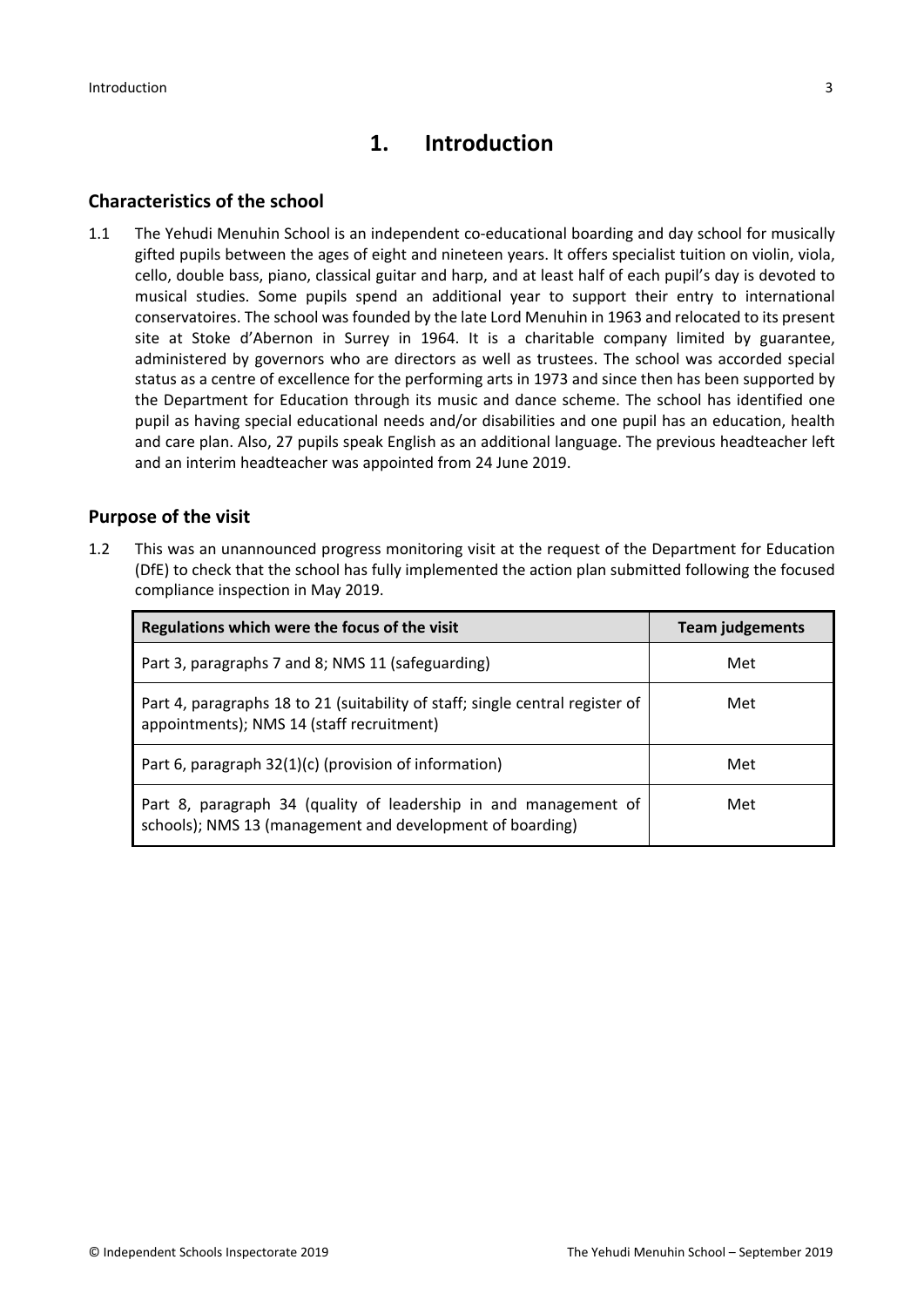# **1. Introduction**

### **Characteristics of the school**

1.1 The Yehudi Menuhin School is an independent co-educational boarding and day school for musically gifted pupils between the ages of eight and nineteen years. It offers specialist tuition on violin, viola, cello, double bass, piano, classical guitar and harp, and at least half of each pupil's day is devoted to musical studies. Some pupils spend an additional year to support their entry to international conservatoires. The school was founded by the late Lord Menuhin in 1963 and relocated to its present site at Stoke d'Abernon in Surrey in 1964. It is a charitable company limited by guarantee, administered by governors who are directors as well as trustees. The school was accorded special status as a centre of excellence for the performing arts in 1973 and since then has been supported by the Department for Education through its music and dance scheme. The school has identified one pupil as having special educational needs and/or disabilities and one pupil has an education, health and care plan. Also, 27 pupils speak English as an additional language. The previous headteacher left and an interim headteacher was appointed from 24 June 2019.

## **Purpose of the visit**

1.2 This was an unannounced progress monitoring visit at the request of the Department for Education (DfE) to check that the school has fully implemented the action plan submitted following the focused compliance inspection in May 2019.

| Regulations which were the focus of the visit                                                                                 | <b>Team judgements</b> |  |
|-------------------------------------------------------------------------------------------------------------------------------|------------------------|--|
| Part 3, paragraphs 7 and 8; NMS 11 (safeguarding)                                                                             | Met                    |  |
| Part 4, paragraphs 18 to 21 (suitability of staff; single central register of<br>appointments); NMS 14 (staff recruitment)    | Met                    |  |
| Part 6, paragraph 32(1)(c) (provision of information)                                                                         | Met                    |  |
| Part 8, paragraph 34 (quality of leadership in and management of<br>schools); NMS 13 (management and development of boarding) | Met                    |  |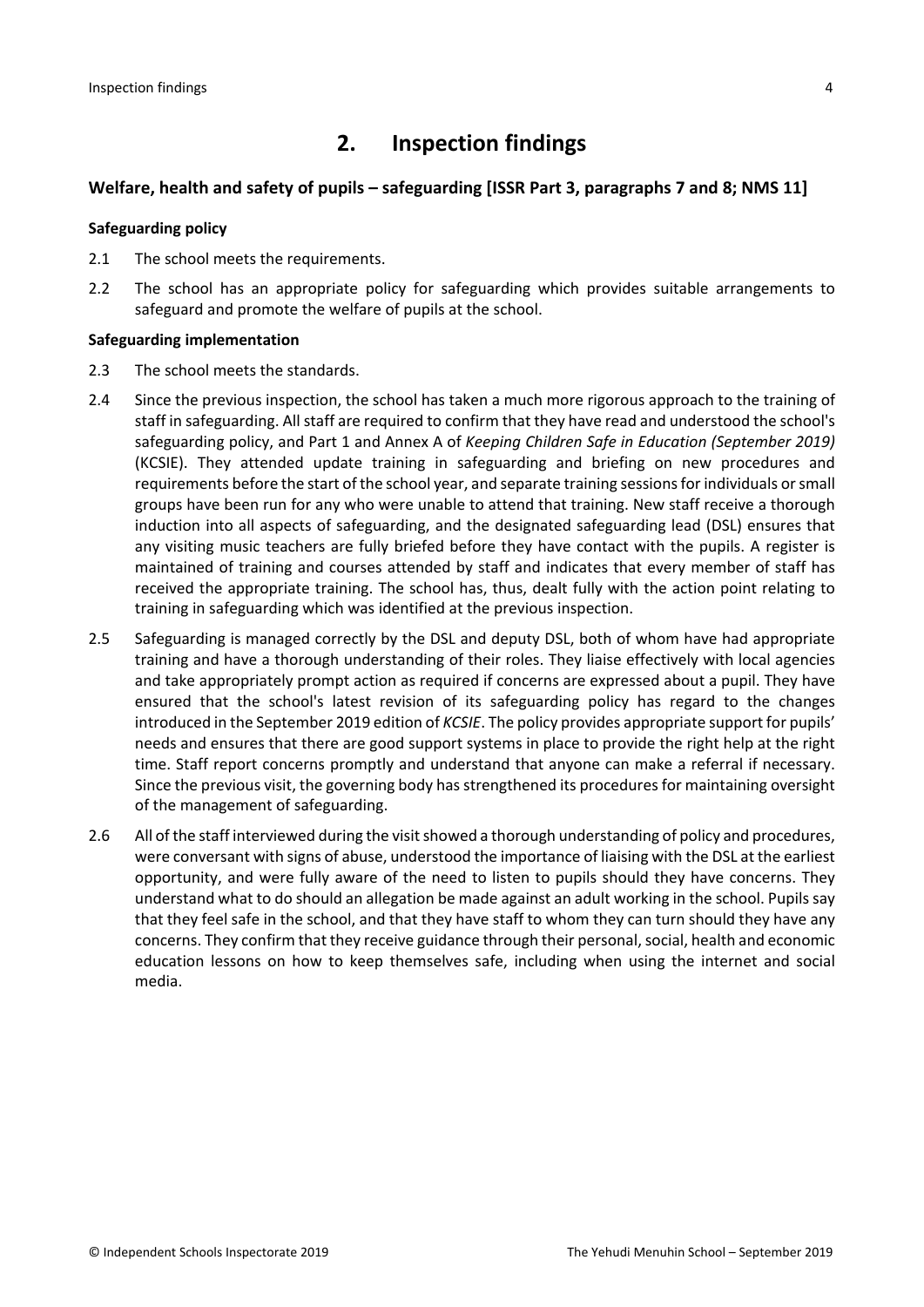# **2. Inspection findings**

### **Welfare, health and safety of pupils – safeguarding [ISSR Part 3, paragraphs 7 and 8; NMS 11]**

#### **Safeguarding policy**

- 2.1 The school meets the requirements.
- 2.2 The school has an appropriate policy for safeguarding which provides suitable arrangements to safeguard and promote the welfare of pupils at the school.

#### **Safeguarding implementation**

- 2.3 The school meets the standards.
- 2.4 Since the previous inspection, the school has taken a much more rigorous approach to the training of staff in safeguarding. All staff are required to confirm that they have read and understood the school's safeguarding policy, and Part 1 and Annex A of *Keeping Children Safe in Education (September 2019)* (KCSIE). They attended update training in safeguarding and briefing on new procedures and requirements before the start of the school year, and separate training sessionsfor individuals orsmall groups have been run for any who were unable to attend that training. New staff receive a thorough induction into all aspects of safeguarding, and the designated safeguarding lead (DSL) ensures that any visiting music teachers are fully briefed before they have contact with the pupils. A register is maintained of training and courses attended by staff and indicates that every member of staff has received the appropriate training. The school has, thus, dealt fully with the action point relating to training in safeguarding which was identified at the previous inspection.
- 2.5 Safeguarding is managed correctly by the DSL and deputy DSL, both of whom have had appropriate training and have a thorough understanding of their roles. They liaise effectively with local agencies and take appropriately prompt action as required if concerns are expressed about a pupil. They have ensured that the school's latest revision of its safeguarding policy has regard to the changes introduced in the September 2019 edition of *KCSIE*. The policy provides appropriate support for pupils' needs and ensures that there are good support systems in place to provide the right help at the right time. Staff report concerns promptly and understand that anyone can make a referral if necessary. Since the previous visit, the governing body has strengthened its procedures for maintaining oversight of the management of safeguarding.
- 2.6 All of the staff interviewed during the visit showed a thorough understanding of policy and procedures, were conversant with signs of abuse, understood the importance of liaising with the DSL at the earliest opportunity, and were fully aware of the need to listen to pupils should they have concerns. They understand what to do should an allegation be made against an adult working in the school. Pupils say that they feel safe in the school, and that they have staff to whom they can turn should they have any concerns. They confirm that they receive guidance through their personal, social, health and economic education lessons on how to keep themselves safe, including when using the internet and social media.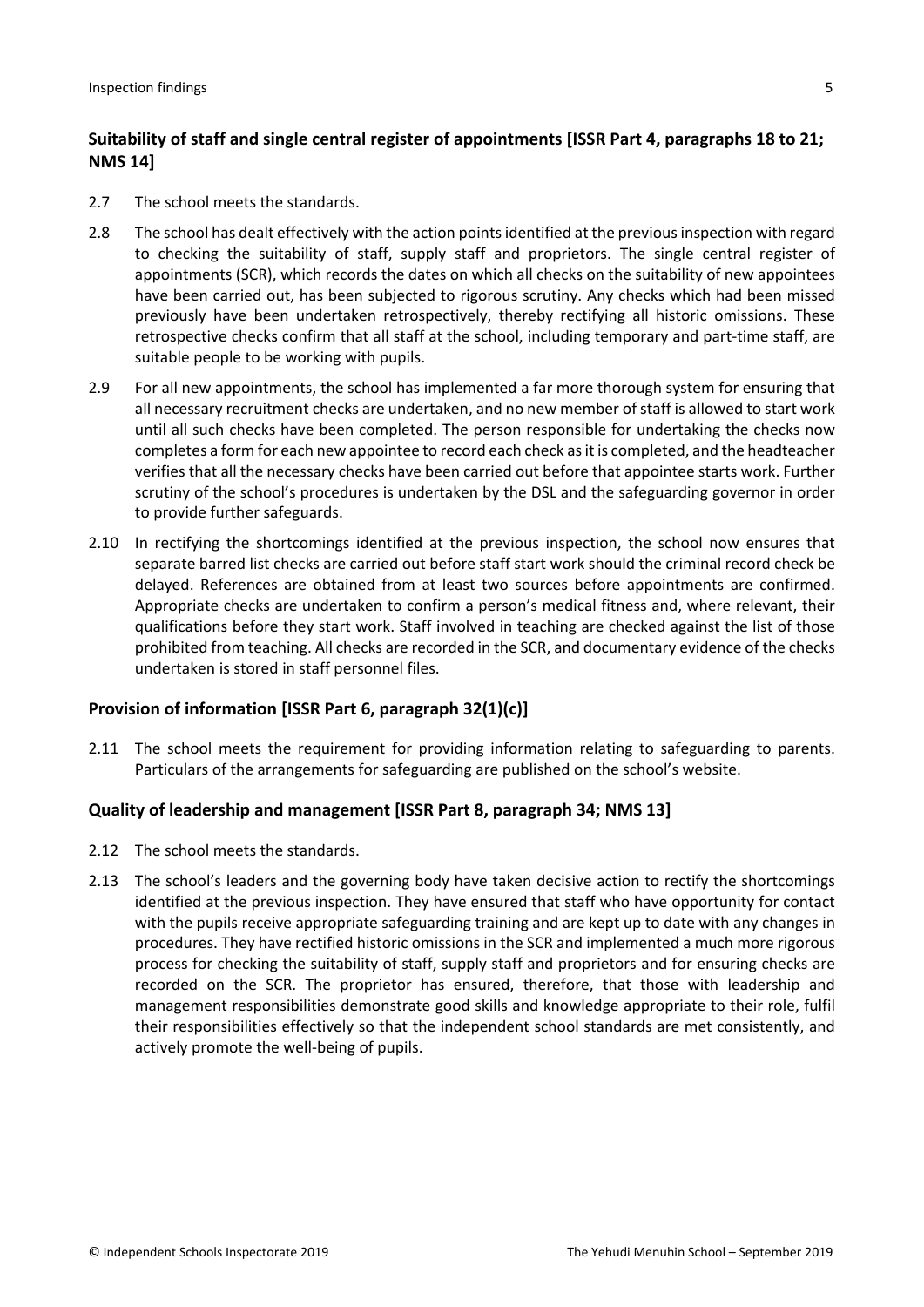## **Suitability of staff and single central register of appointments [ISSR Part 4, paragraphs 18 to 21; NMS 14]**

- 2.7 The school meets the standards.
- 2.8 The school has dealt effectively with the action points identified at the previous inspection with regard to checking the suitability of staff, supply staff and proprietors. The single central register of appointments (SCR), which records the dates on which all checks on the suitability of new appointees have been carried out, has been subjected to rigorous scrutiny. Any checks which had been missed previously have been undertaken retrospectively, thereby rectifying all historic omissions. These retrospective checks confirm that all staff at the school, including temporary and part-time staff, are suitable people to be working with pupils.
- 2.9 For all new appointments, the school has implemented a far more thorough system for ensuring that all necessary recruitment checks are undertaken, and no new member of staff is allowed to start work until all such checks have been completed. The person responsible for undertaking the checks now completes a form for each new appointee to record each check asit is completed, and the headteacher verifies that all the necessary checks have been carried out before that appointee starts work. Further scrutiny of the school's procedures is undertaken by the DSL and the safeguarding governor in order to provide further safeguards.
- 2.10 In rectifying the shortcomings identified at the previous inspection, the school now ensures that separate barred list checks are carried out before staff start work should the criminal record check be delayed. References are obtained from at least two sources before appointments are confirmed. Appropriate checks are undertaken to confirm a person's medical fitness and, where relevant, their qualifications before they start work. Staff involved in teaching are checked against the list of those prohibited from teaching. All checks are recorded in the SCR, and documentary evidence of the checks undertaken is stored in staff personnel files.

### **Provision of information [ISSR Part 6, paragraph 32(1)(c)]**

2.11 The school meets the requirement for providing information relating to safeguarding to parents. Particulars of the arrangements for safeguarding are published on the school's website.

### **Quality of leadership and management [ISSR Part 8, paragraph 34; NMS 13]**

- 2.12 The school meets the standards.
- 2.13 The school's leaders and the governing body have taken decisive action to rectify the shortcomings identified at the previous inspection. They have ensured that staff who have opportunity for contact with the pupils receive appropriate safeguarding training and are kept up to date with any changes in procedures. They have rectified historic omissions in the SCR and implemented a much more rigorous process for checking the suitability of staff, supply staff and proprietors and for ensuring checks are recorded on the SCR. The proprietor has ensured, therefore, that those with leadership and management responsibilities demonstrate good skills and knowledge appropriate to their role, fulfil their responsibilities effectively so that the independent school standards are met consistently, and actively promote the well-being of pupils.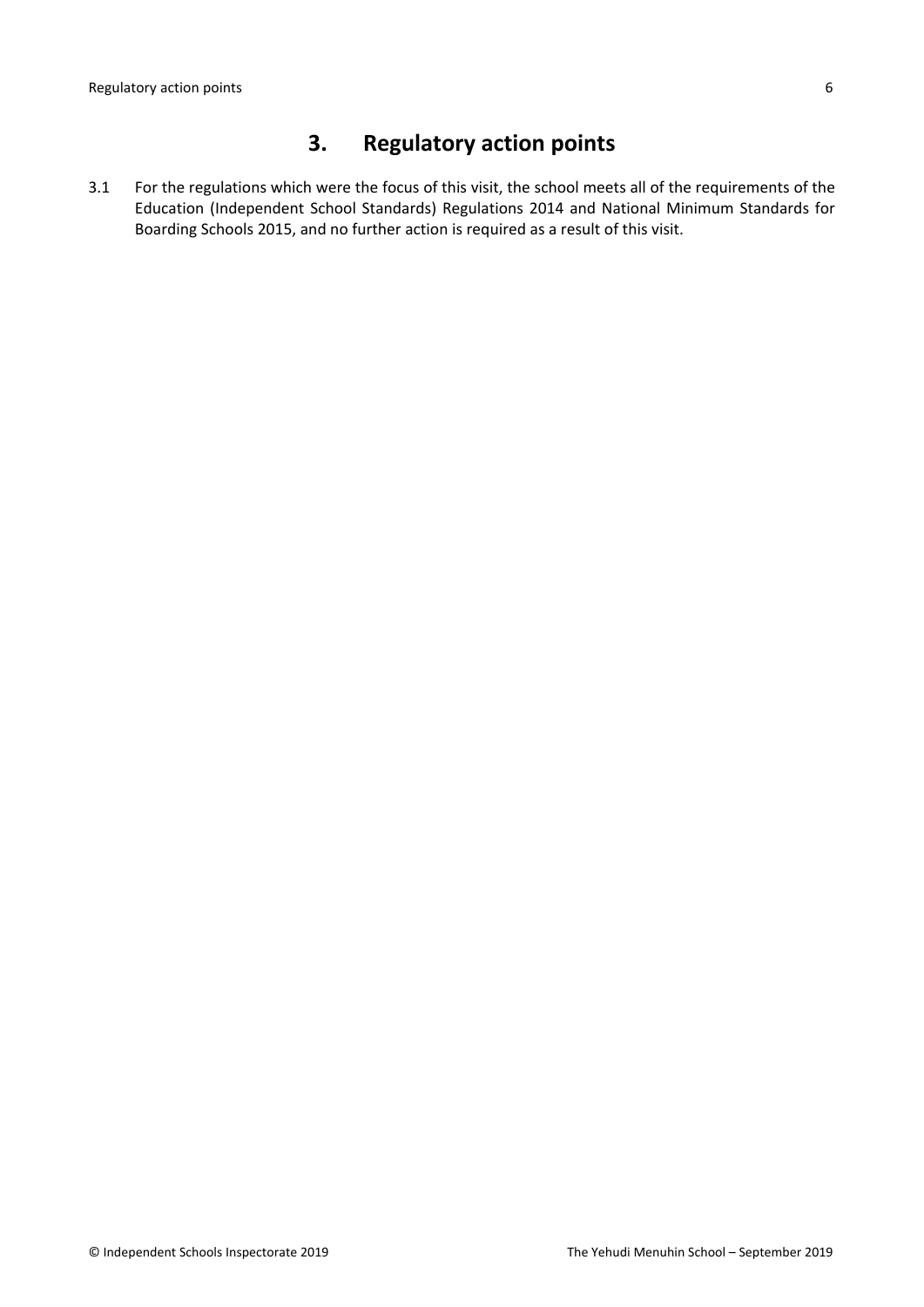# **3. Regulatory action points**

3.1 For the regulations which were the focus of this visit, the school meets all of the requirements of the Education (Independent School Standards) Regulations 2014 and National Minimum Standards for Boarding Schools 2015, and no further action is required as a result of this visit.